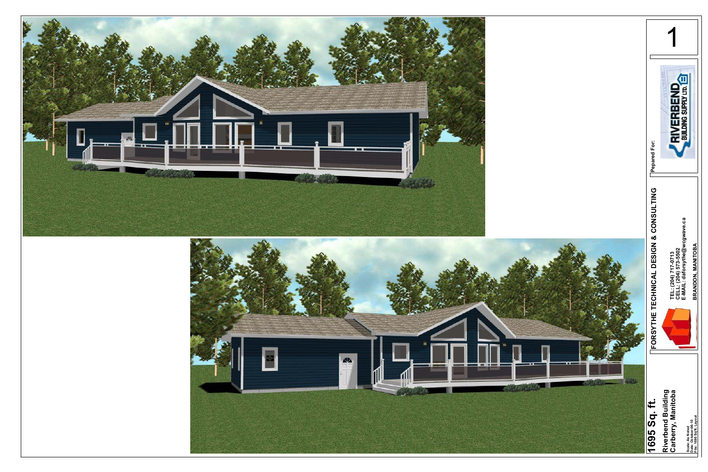